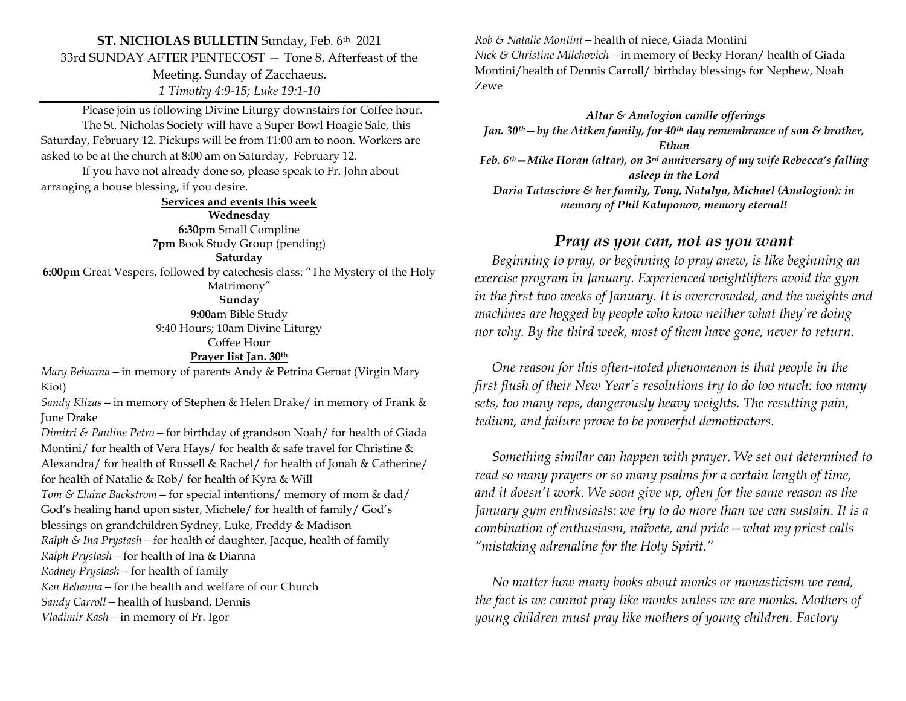## **ST. NICHOLAS BULLETIN** Sunday, Feb. 6th 2021 33rd SUNDAY AFTER PENTECOST — Tone 8. Afterfeast of the Meeting. Sunday of Zacchaeus.

*1 Timothy 4:9-15; Luke 19:1-10*

Please join us following Divine Liturgy downstairs for Coffee hour. The St. Nicholas Society will have a Super Bowl Hoagie Sale, this Saturday, February 12. Pickups will be from 11:00 am to noon. Workers are asked to be at the church at 8:00 am on Saturday, February 12.

If you have not already done so, please speak to Fr. John about arranging a house blessing, if you desire.

**Services and events this week**

**Wednesday 6:30pm** Small Compline **7pm** Book Study Group (pending)

#### **Saturday**

**6:00pm** Great Vespers, followed by catechesis class: "The Mystery of the Holy Matrimony"

**Sunday**

**9:00**am Bible Study 9:40 Hours; 10am Divine Liturgy Coffee Hour

#### **Prayer list Jan. 30th**

*Mary Behanna—*in memory of parents Andy & Petrina Gernat (Virgin Mary Kiot)

*Sandy Klizas—*in memory of Stephen & Helen Drake/ in memory of Frank & June Drake

*Dimitri & Pauline Petro—*for birthday of grandson Noah/ for health of Giada Montini/ for health of Vera Hays/ for health & safe travel for Christine & Alexandra/ for health of Russell & Rachel/ for health of Jonah & Catherine/ for health of Natalie & Rob/ for health of Kyra & Will

*Tom & Elaine Backstrom—*for special intentions/ memory of mom & dad/

God's healing hand upon sister, Michele/ for health of family/ God's

blessings on grandchildren Sydney, Luke, Freddy & Madison

*Ralph & Ina Prystash—*for health of daughter, Jacque, health of family

*Ralph Prystash—*for health of Ina & Dianna

*Rodney Prystash—*for health of family

*Ken Behanna—*for the health and welfare of our Church

*Sandy Carroll—*health of husband, Dennis

*Vladimir Kash—*in memory of Fr. Igor

*Rob & Natalie Montini—*health of niece, Giada Montini *Nick & Christine Milchovich—*in memory of Becky Horan/ health of Giada Montini/health of Dennis Carroll/ birthday blessings for Nephew, Noah Zewe

*Altar & Analogion candle offerings Jan. 30th—by the Aitken family, for 40th day remembrance of son & brother, Ethan Feb. 6th—Mike Horan (altar), on 3rd anniversary of my wife Rebecca's falling asleep in the Lord Daria Tatasciore & her family, Tony, Natalya, Michael (Analogion): in memory of Phil Kaluponov, memory eternal!*

## *Pray as you can, not as you want*

 *Beginning to pray, or beginning to pray anew, is like beginning an exercise program in January. Experienced weightlifters avoid the gym in the first two weeks of January. It is overcrowded, and the weights and machines are hogged by people who know neither what they're doing nor why. By the third week, most of them have gone, never to return.* 

 *One reason for this often-noted phenomenon is that people in the first flush of their New Year's resolutions try to do too much: too many sets, too many reps, dangerously heavy weights. The resulting pain, tedium, and failure prove to be powerful demotivators.* 

 *Something similar can happen with prayer. We set out determined to read so many prayers or so many psalms for a certain length of time, and it doesn't work. We soon give up, often for the same reason as the January gym enthusiasts: we try to do more than we can sustain. It is a combination of enthusiasm, naïvete, and pride—what my priest calls "mistaking adrenaline for the Holy Spirit."* 

 *No matter how many books about monks or monasticism we read, the fact is we cannot pray like monks unless we are monks. Mothers of young children must pray like mothers of young children. Factory*